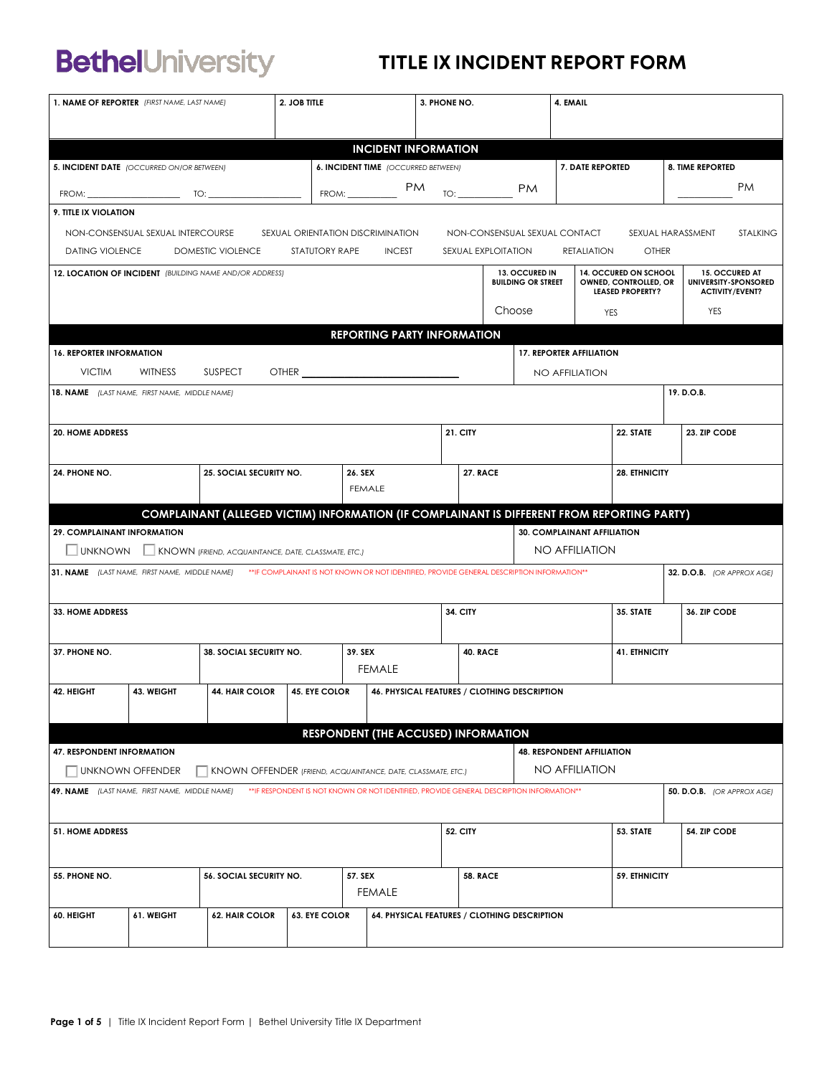# **BethelUniversity**

### TITLE IX INCIDENT REPORT FORM

| <b>INCIDENT INFORMATION</b><br>7. DATE REPORTED<br><b>6. INCIDENT TIME</b> (OCCURRED BETWEEN)<br><b>8. TIME REPORTED</b><br><b>PM</b><br><b>PM</b><br><b>PM</b><br>FROM:<br>TO:<br>9. TITLE IX VIOLATION<br>NON-CONSENSUAL SEXUAL INTERCOURSE<br>SEXUAL ORIENTATION DISCRIMINATION<br>NON-CONSENSUAL SEXUAL CONTACT<br>SEXUAL HARASSMENT<br><b>STALKING</b><br>DOMESTIC VIOLENCE<br>STATUTORY RAPE<br>SEXUAL EXPLOITATION<br><b>OTHER</b><br><b>DATING VIOLENCE</b><br><b>INCEST</b><br>RETALIATION<br>13. OCCURED IN<br>14. OCCURED ON SCHOOL<br>15. OCCURED AT<br>12. LOCATION OF INCIDENT (BUILDING NAME AND/OR ADDRESS)<br>UNIVERSITY-SPONSORED<br><b>BUILDING OR STREET</b><br>OWNED, CONTROLLED, OR<br><b>LEASED PROPERTY?</b><br><b>ACTIVITY/EVENT?</b><br>Choose<br>YES<br><b>YES</b><br><b>REPORTING PARTY INFORMATION</b><br><b>17. REPORTER AFFILIATION</b><br><b>16. REPORTER INFORMATION</b><br><b>VICTIM</b><br><b>WITNESS</b><br><b>SUSPECT</b><br><b>NO AFFILIATION</b><br>18. NAME (LAST NAME, FIRST NAME, MIDDLE NAME)<br>19. D.O.B.<br><b>21. CITY</b><br>23. ZIP CODE<br>22. STATE<br><b>20. HOME ADDRESS</b><br>25. SOCIAL SECURITY NO.<br><b>27. RACE</b><br>26. SEX<br><b>28. ETHNICITY</b><br><b>FEMALE</b><br>COMPLAINANT (ALLEGED VICTIM) INFORMATION (IF COMPLAINANT IS DIFFERENT FROM REPORTING PARTY)<br>29. COMPLAINANT INFORMATION<br>30. COMPLAINANT AFFILIATION<br>NO AFFILIATION<br><b>UNKNOWN</b><br>KNOWN (FRIEND, ACQUAINTANCE, DATE, CLASSMATE, ETC.)<br>31. NAME (LAST NAME, FIRST NAME, MIDDLE NAME) ** IF COMPLAINANT IS NOT KNOWN OR NOT IDENTIFIED, PROVIDE GENERAL DESCRIPTION INFORMATION**<br>32. D.O.B. (OR APPROX AGE)<br><b>34. CITY</b><br>35. STATE<br>36. ZIP CODE<br><b>33. HOME ADDRESS</b><br>38. SOCIAL SECURITY NO.<br>39. SEX<br>40. RACE<br><b>41. ETHNICITY</b><br><b>FEMALE</b><br><b>45. EYE COLOR</b><br>46. PHYSICAL FEATURES / CLOTHING DESCRIPTION | 1. NAME OF REPORTER (FIRST NAME, LAST NAME) |            |                       | 2. JOB TITLE |  |  |  | 3. PHONE NO. |  | 4. EMAIL |  |  |  |
|----------------------------------------------------------------------------------------------------------------------------------------------------------------------------------------------------------------------------------------------------------------------------------------------------------------------------------------------------------------------------------------------------------------------------------------------------------------------------------------------------------------------------------------------------------------------------------------------------------------------------------------------------------------------------------------------------------------------------------------------------------------------------------------------------------------------------------------------------------------------------------------------------------------------------------------------------------------------------------------------------------------------------------------------------------------------------------------------------------------------------------------------------------------------------------------------------------------------------------------------------------------------------------------------------------------------------------------------------------------------------------------------------------------------------------------------------------------------------------------------------------------------------------------------------------------------------------------------------------------------------------------------------------------------------------------------------------------------------------------------------------------------------------------------------------------------------------------------------------------------------------------------------------------------|---------------------------------------------|------------|-----------------------|--------------|--|--|--|--------------|--|----------|--|--|--|
|                                                                                                                                                                                                                                                                                                                                                                                                                                                                                                                                                                                                                                                                                                                                                                                                                                                                                                                                                                                                                                                                                                                                                                                                                                                                                                                                                                                                                                                                                                                                                                                                                                                                                                                                                                                                                                                                                                                      |                                             |            |                       |              |  |  |  |              |  |          |  |  |  |
|                                                                                                                                                                                                                                                                                                                                                                                                                                                                                                                                                                                                                                                                                                                                                                                                                                                                                                                                                                                                                                                                                                                                                                                                                                                                                                                                                                                                                                                                                                                                                                                                                                                                                                                                                                                                                                                                                                                      |                                             |            |                       |              |  |  |  |              |  |          |  |  |  |
|                                                                                                                                                                                                                                                                                                                                                                                                                                                                                                                                                                                                                                                                                                                                                                                                                                                                                                                                                                                                                                                                                                                                                                                                                                                                                                                                                                                                                                                                                                                                                                                                                                                                                                                                                                                                                                                                                                                      | 5. INCIDENT DATE (OCCURRED ON/OR BETWEEN)   |            |                       |              |  |  |  |              |  |          |  |  |  |
|                                                                                                                                                                                                                                                                                                                                                                                                                                                                                                                                                                                                                                                                                                                                                                                                                                                                                                                                                                                                                                                                                                                                                                                                                                                                                                                                                                                                                                                                                                                                                                                                                                                                                                                                                                                                                                                                                                                      |                                             |            |                       |              |  |  |  |              |  |          |  |  |  |
|                                                                                                                                                                                                                                                                                                                                                                                                                                                                                                                                                                                                                                                                                                                                                                                                                                                                                                                                                                                                                                                                                                                                                                                                                                                                                                                                                                                                                                                                                                                                                                                                                                                                                                                                                                                                                                                                                                                      |                                             |            |                       |              |  |  |  |              |  |          |  |  |  |
|                                                                                                                                                                                                                                                                                                                                                                                                                                                                                                                                                                                                                                                                                                                                                                                                                                                                                                                                                                                                                                                                                                                                                                                                                                                                                                                                                                                                                                                                                                                                                                                                                                                                                                                                                                                                                                                                                                                      |                                             |            |                       |              |  |  |  |              |  |          |  |  |  |
|                                                                                                                                                                                                                                                                                                                                                                                                                                                                                                                                                                                                                                                                                                                                                                                                                                                                                                                                                                                                                                                                                                                                                                                                                                                                                                                                                                                                                                                                                                                                                                                                                                                                                                                                                                                                                                                                                                                      |                                             |            |                       |              |  |  |  |              |  |          |  |  |  |
|                                                                                                                                                                                                                                                                                                                                                                                                                                                                                                                                                                                                                                                                                                                                                                                                                                                                                                                                                                                                                                                                                                                                                                                                                                                                                                                                                                                                                                                                                                                                                                                                                                                                                                                                                                                                                                                                                                                      |                                             |            |                       |              |  |  |  |              |  |          |  |  |  |
|                                                                                                                                                                                                                                                                                                                                                                                                                                                                                                                                                                                                                                                                                                                                                                                                                                                                                                                                                                                                                                                                                                                                                                                                                                                                                                                                                                                                                                                                                                                                                                                                                                                                                                                                                                                                                                                                                                                      |                                             |            |                       |              |  |  |  |              |  |          |  |  |  |
|                                                                                                                                                                                                                                                                                                                                                                                                                                                                                                                                                                                                                                                                                                                                                                                                                                                                                                                                                                                                                                                                                                                                                                                                                                                                                                                                                                                                                                                                                                                                                                                                                                                                                                                                                                                                                                                                                                                      |                                             |            |                       |              |  |  |  |              |  |          |  |  |  |
|                                                                                                                                                                                                                                                                                                                                                                                                                                                                                                                                                                                                                                                                                                                                                                                                                                                                                                                                                                                                                                                                                                                                                                                                                                                                                                                                                                                                                                                                                                                                                                                                                                                                                                                                                                                                                                                                                                                      |                                             |            |                       |              |  |  |  |              |  |          |  |  |  |
|                                                                                                                                                                                                                                                                                                                                                                                                                                                                                                                                                                                                                                                                                                                                                                                                                                                                                                                                                                                                                                                                                                                                                                                                                                                                                                                                                                                                                                                                                                                                                                                                                                                                                                                                                                                                                                                                                                                      |                                             |            |                       |              |  |  |  |              |  |          |  |  |  |
|                                                                                                                                                                                                                                                                                                                                                                                                                                                                                                                                                                                                                                                                                                                                                                                                                                                                                                                                                                                                                                                                                                                                                                                                                                                                                                                                                                                                                                                                                                                                                                                                                                                                                                                                                                                                                                                                                                                      |                                             |            |                       |              |  |  |  |              |  |          |  |  |  |
|                                                                                                                                                                                                                                                                                                                                                                                                                                                                                                                                                                                                                                                                                                                                                                                                                                                                                                                                                                                                                                                                                                                                                                                                                                                                                                                                                                                                                                                                                                                                                                                                                                                                                                                                                                                                                                                                                                                      |                                             |            |                       |              |  |  |  |              |  |          |  |  |  |
|                                                                                                                                                                                                                                                                                                                                                                                                                                                                                                                                                                                                                                                                                                                                                                                                                                                                                                                                                                                                                                                                                                                                                                                                                                                                                                                                                                                                                                                                                                                                                                                                                                                                                                                                                                                                                                                                                                                      | 24. PHONE NO.                               |            |                       |              |  |  |  |              |  |          |  |  |  |
|                                                                                                                                                                                                                                                                                                                                                                                                                                                                                                                                                                                                                                                                                                                                                                                                                                                                                                                                                                                                                                                                                                                                                                                                                                                                                                                                                                                                                                                                                                                                                                                                                                                                                                                                                                                                                                                                                                                      |                                             |            |                       |              |  |  |  |              |  |          |  |  |  |
|                                                                                                                                                                                                                                                                                                                                                                                                                                                                                                                                                                                                                                                                                                                                                                                                                                                                                                                                                                                                                                                                                                                                                                                                                                                                                                                                                                                                                                                                                                                                                                                                                                                                                                                                                                                                                                                                                                                      |                                             |            |                       |              |  |  |  |              |  |          |  |  |  |
|                                                                                                                                                                                                                                                                                                                                                                                                                                                                                                                                                                                                                                                                                                                                                                                                                                                                                                                                                                                                                                                                                                                                                                                                                                                                                                                                                                                                                                                                                                                                                                                                                                                                                                                                                                                                                                                                                                                      |                                             |            |                       |              |  |  |  |              |  |          |  |  |  |
|                                                                                                                                                                                                                                                                                                                                                                                                                                                                                                                                                                                                                                                                                                                                                                                                                                                                                                                                                                                                                                                                                                                                                                                                                                                                                                                                                                                                                                                                                                                                                                                                                                                                                                                                                                                                                                                                                                                      |                                             |            |                       |              |  |  |  |              |  |          |  |  |  |
|                                                                                                                                                                                                                                                                                                                                                                                                                                                                                                                                                                                                                                                                                                                                                                                                                                                                                                                                                                                                                                                                                                                                                                                                                                                                                                                                                                                                                                                                                                                                                                                                                                                                                                                                                                                                                                                                                                                      |                                             |            |                       |              |  |  |  |              |  |          |  |  |  |
|                                                                                                                                                                                                                                                                                                                                                                                                                                                                                                                                                                                                                                                                                                                                                                                                                                                                                                                                                                                                                                                                                                                                                                                                                                                                                                                                                                                                                                                                                                                                                                                                                                                                                                                                                                                                                                                                                                                      |                                             |            |                       |              |  |  |  |              |  |          |  |  |  |
|                                                                                                                                                                                                                                                                                                                                                                                                                                                                                                                                                                                                                                                                                                                                                                                                                                                                                                                                                                                                                                                                                                                                                                                                                                                                                                                                                                                                                                                                                                                                                                                                                                                                                                                                                                                                                                                                                                                      | 37. PHONE NO.                               |            |                       |              |  |  |  |              |  |          |  |  |  |
|                                                                                                                                                                                                                                                                                                                                                                                                                                                                                                                                                                                                                                                                                                                                                                                                                                                                                                                                                                                                                                                                                                                                                                                                                                                                                                                                                                                                                                                                                                                                                                                                                                                                                                                                                                                                                                                                                                                      |                                             |            |                       |              |  |  |  |              |  |          |  |  |  |
|                                                                                                                                                                                                                                                                                                                                                                                                                                                                                                                                                                                                                                                                                                                                                                                                                                                                                                                                                                                                                                                                                                                                                                                                                                                                                                                                                                                                                                                                                                                                                                                                                                                                                                                                                                                                                                                                                                                      | 42. HEIGHT                                  | 43. WEIGHT | <b>44. HAIR COLOR</b> |              |  |  |  |              |  |          |  |  |  |
|                                                                                                                                                                                                                                                                                                                                                                                                                                                                                                                                                                                                                                                                                                                                                                                                                                                                                                                                                                                                                                                                                                                                                                                                                                                                                                                                                                                                                                                                                                                                                                                                                                                                                                                                                                                                                                                                                                                      |                                             |            |                       |              |  |  |  |              |  |          |  |  |  |
| <b>RESPONDENT (THE ACCUSED) INFORMATION</b>                                                                                                                                                                                                                                                                                                                                                                                                                                                                                                                                                                                                                                                                                                                                                                                                                                                                                                                                                                                                                                                                                                                                                                                                                                                                                                                                                                                                                                                                                                                                                                                                                                                                                                                                                                                                                                                                          |                                             |            |                       |              |  |  |  |              |  |          |  |  |  |
| <b>48. RESPONDENT AFFILIATION</b>                                                                                                                                                                                                                                                                                                                                                                                                                                                                                                                                                                                                                                                                                                                                                                                                                                                                                                                                                                                                                                                                                                                                                                                                                                                                                                                                                                                                                                                                                                                                                                                                                                                                                                                                                                                                                                                                                    | <b>47. RESPONDENT INFORMATION</b>           |            |                       |              |  |  |  |              |  |          |  |  |  |
| <b>NO AFFILIATION</b><br>KNOWN OFFENDER (FRIEND, ACQUAINTANCE, DATE, CLASSMATE, ETC.)<br><b>UNKNOWN OFFENDER</b>                                                                                                                                                                                                                                                                                                                                                                                                                                                                                                                                                                                                                                                                                                                                                                                                                                                                                                                                                                                                                                                                                                                                                                                                                                                                                                                                                                                                                                                                                                                                                                                                                                                                                                                                                                                                     |                                             |            |                       |              |  |  |  |              |  |          |  |  |  |
| ** IF RESPONDENT IS NOT KNOWN OR NOT IDENTIFIED, PROVIDE GENERAL DESCRIPTION INFORMATION**<br>49. NAME (LAST NAME, FIRST NAME, MIDDLE NAME)<br><b>50. D.O.B.</b> (OR APPROX AGE)                                                                                                                                                                                                                                                                                                                                                                                                                                                                                                                                                                                                                                                                                                                                                                                                                                                                                                                                                                                                                                                                                                                                                                                                                                                                                                                                                                                                                                                                                                                                                                                                                                                                                                                                     |                                             |            |                       |              |  |  |  |              |  |          |  |  |  |
| 53. STATE<br>54. ZIP CODE<br><b>51. HOME ADDRESS</b><br><b>52. CITY</b>                                                                                                                                                                                                                                                                                                                                                                                                                                                                                                                                                                                                                                                                                                                                                                                                                                                                                                                                                                                                                                                                                                                                                                                                                                                                                                                                                                                                                                                                                                                                                                                                                                                                                                                                                                                                                                              |                                             |            |                       |              |  |  |  |              |  |          |  |  |  |
| 57. SEX<br><b>58. RACE</b><br>56. SOCIAL SECURITY NO.<br>59. ETHNICITY                                                                                                                                                                                                                                                                                                                                                                                                                                                                                                                                                                                                                                                                                                                                                                                                                                                                                                                                                                                                                                                                                                                                                                                                                                                                                                                                                                                                                                                                                                                                                                                                                                                                                                                                                                                                                                               | 55. PHONE NO.                               |            |                       |              |  |  |  |              |  |          |  |  |  |
| <b>FEMALE</b>                                                                                                                                                                                                                                                                                                                                                                                                                                                                                                                                                                                                                                                                                                                                                                                                                                                                                                                                                                                                                                                                                                                                                                                                                                                                                                                                                                                                                                                                                                                                                                                                                                                                                                                                                                                                                                                                                                        |                                             |            |                       |              |  |  |  |              |  |          |  |  |  |
| 61. WEIGHT<br><b>62. HAIR COLOR</b><br><b>63. EYE COLOR</b><br>64. PHYSICAL FEATURES / CLOTHING DESCRIPTION                                                                                                                                                                                                                                                                                                                                                                                                                                                                                                                                                                                                                                                                                                                                                                                                                                                                                                                                                                                                                                                                                                                                                                                                                                                                                                                                                                                                                                                                                                                                                                                                                                                                                                                                                                                                          | 60. HEIGHT                                  |            |                       |              |  |  |  |              |  |          |  |  |  |
|                                                                                                                                                                                                                                                                                                                                                                                                                                                                                                                                                                                                                                                                                                                                                                                                                                                                                                                                                                                                                                                                                                                                                                                                                                                                                                                                                                                                                                                                                                                                                                                                                                                                                                                                                                                                                                                                                                                      |                                             |            |                       |              |  |  |  |              |  |          |  |  |  |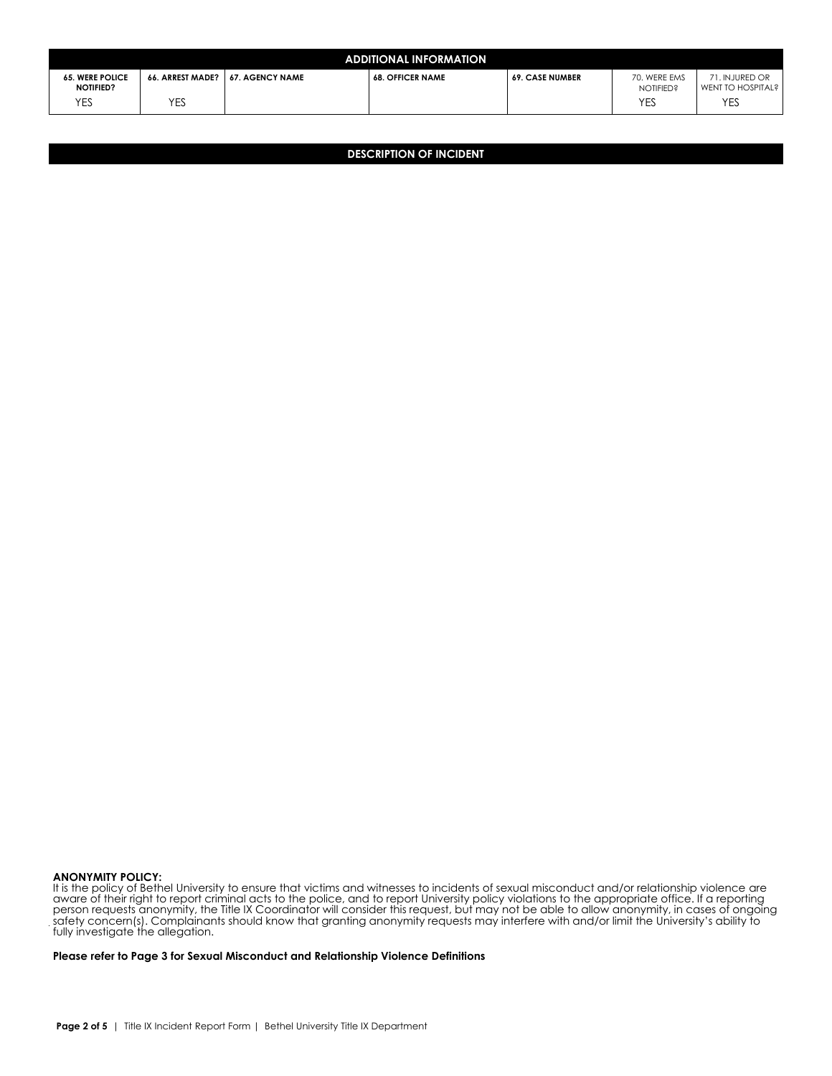| <b>ADDITIONAL INFORMATION</b>              |                  |                        |                         |                        |                                  |                                           |  |  |  |  |  |
|--------------------------------------------|------------------|------------------------|-------------------------|------------------------|----------------------------------|-------------------------------------------|--|--|--|--|--|
| <b>65. WERE POLICE</b><br><b>NOTIFIED?</b> | 66. ARREST MADE? | <b>67. AGENCY NAME</b> | <b>68. OFFICER NAME</b> | <b>69. CASE NUMBER</b> | 70. WERE EMS<br><b>NOTIFIED?</b> | 1. INJURED OR<br><b>WENT TO HOSPITAL?</b> |  |  |  |  |  |
| YES                                        | YES              |                        |                         |                        | <b>YES</b>                       | YES                                       |  |  |  |  |  |

**DESCRIPTION OF INCIDENT**

#### **ANONYMITY POLICY:**

It is the policy of Bethel University to ensure that victims and witnesses to incidents of sexual misconduct and/or relationship violence are aware of their right to report criminal acts to the police, and to report University policy violations to the appropriate office. If a reporting person requests anonymity, the Title IX Coordinator will consider this request, but may not be able to allow anonymity, in cases of ongoing safety concern(s). Complainants should know that granting anonymity requests may interfere with and/or limit the University's ability to fully investigate the allegation.

**Please refer to Page 3 for Sexual Misconduct and Relationship Violence Definitions**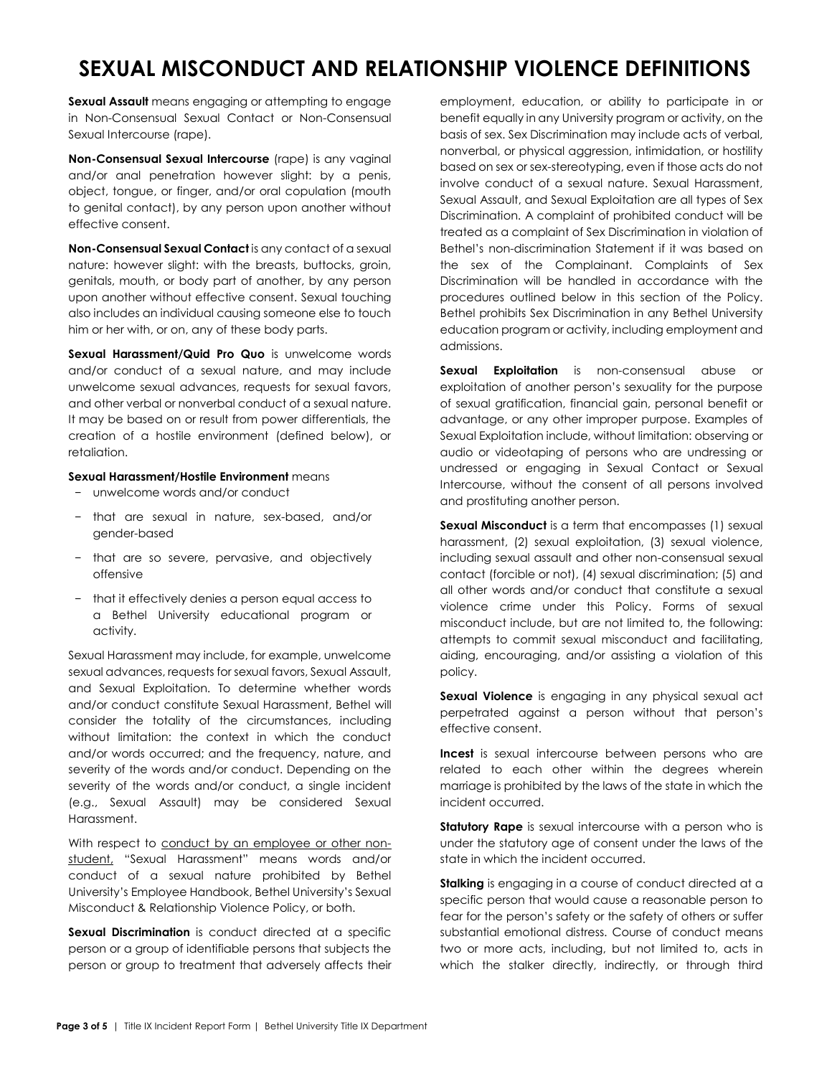## **SEXUAL MISCONDUCT AND RELATIONSHIP VIOLENCE DEFINITIONS**

**Sexual Assault** means engaging or attempting to engage in Non-Consensual Sexual Contact or Non-Consensual Sexual Intercourse (rape).

**Non-Consensual Sexual Intercourse** (rape) is any vaginal and/or anal penetration however slight: by a penis, object, tongue, or finger, and/or oral copulation (mouth to genital contact), by any person upon another without effective consent.

**Non-Consensual Sexual Contact** is any contact of a sexual nature: however slight: with the breasts, buttocks, groin, genitals, mouth, or body part of another, by any person upon another without effective consent. Sexual touching also includes an individual causing someone else to touch him or her with, or on, any of these body parts.

**Sexual Harassment/Quid Pro Quo** is unwelcome words and/or conduct of a sexual nature, and may include unwelcome sexual advances, requests for sexual favors, and other verbal or nonverbal conduct of a sexual nature. It may be based on or result from power differentials, the creation of a hostile environment (defined below), or retaliation.

#### **Sexual Harassment/Hostile Environment** means

- − unwelcome words and/or conduct
- − that are sexual in nature, sex-based, and/or gender-based
- − that are so severe, pervasive, and objectively offensive
- − that it effectively denies a person equal access to a Bethel University educational program or activity.

Sexual Harassment may include, for example, unwelcome sexual advances, requests for sexual favors, Sexual Assault, and Sexual Exploitation. To determine whether words and/or conduct constitute Sexual Harassment, Bethel will consider the totality of the circumstances, including without limitation: the context in which the conduct and/or words occurred; and the frequency, nature, and severity of the words and/or conduct. Depending on the severity of the words and/or conduct, a single incident (e.g., Sexual Assault) may be considered Sexual Harassment.

With respect to conduct by an employee or other nonstudent, "Sexual Harassment" means words and/or conduct of a sexual nature prohibited by Bethel University's Employee Handbook, Bethel University's Sexual Misconduct & Relationship Violence Policy, or both.

**Sexual Discrimination** is conduct directed at a specific person or a group of identifiable persons that subjects the person or group to treatment that adversely affects their

employment, education, or ability to participate in or benefit equally in any University program or activity, on the basis of sex. Sex Discrimination may include acts of verbal, nonverbal, or physical aggression, intimidation, or hostility based on sex or sex-stereotyping, even if those acts do not involve conduct of a sexual nature. Sexual Harassment, Sexual Assault, and Sexual Exploitation are all types of Sex Discrimination. A complaint of prohibited conduct will be treated as a complaint of Sex Discrimination in violation of Bethel's non-discrimination Statement if it was based on the sex of the Complainant. Complaints of Sex Discrimination will be handled in accordance with the procedures outlined below in this section of the Policy. Bethel prohibits Sex Discrimination in any Bethel University education program or activity, including employment and admissions.

**Sexual Exploitation** is non-consensual abuse or exploitation of another person's sexuality for the purpose of sexual gratification, financial gain, personal benefit or advantage, or any other improper purpose. Examples of Sexual Exploitation include, without limitation: observing or audio or videotaping of persons who are undressing or undressed or engaging in Sexual Contact or Sexual Intercourse, without the consent of all persons involved and prostituting another person.

**Sexual Misconduct** is a term that encompasses (1) sexual harassment, (2) sexual exploitation, (3) sexual violence, including sexual assault and other non-consensual sexual contact (forcible or not), (4) sexual discrimination; (5) and all other words and/or conduct that constitute a sexual violence crime under this Policy. Forms of sexual misconduct include, but are not limited to, the following: attempts to commit sexual misconduct and facilitating, aiding, encouraging, and/or assisting a violation of this policy.

**Sexual Violence** is engaging in any physical sexual act perpetrated against a person without that person's effective consent.

**Incest** is sexual intercourse between persons who are related to each other within the degrees wherein marriage is prohibited by the laws of the state in which the incident occurred.

**Statutory Rape** is sexual intercourse with a person who is under the statutory age of consent under the laws of the state in which the incident occurred.

**Stalking** is engaging in a course of conduct directed at a specific person that would cause a reasonable person to fear for the person's safety or the safety of others or suffer substantial emotional distress. Course of conduct means two or more acts, including, but not limited to, acts in which the stalker directly, indirectly, or through third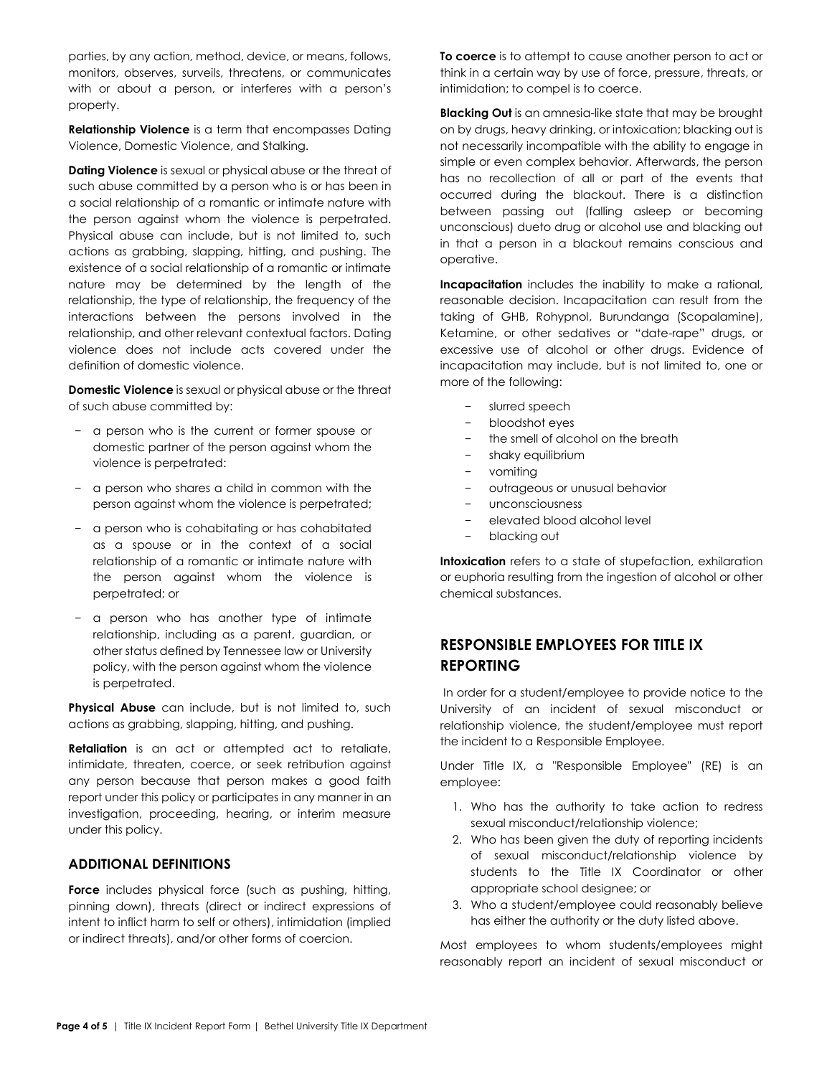parties, by any action, method, device, or means, follows, monitors, observes, surveils, threatens, or communicates with or about a person, or interferes with a person's property.

**Relationship Violence** is a term that encompasses Dating Violence, Domestic Violence, and Stalking.

**Dating Violence** is sexual or physical abuse or the threat of such abuse committed by a person who is or has been in a social relationship of a romantic or intimate nature with the person against whom the violence is perpetrated. Physical abuse can include, but is not limited to, such actions as grabbing, slapping, hitting, and pushing. The existence of a social relationship of a romantic or intimate nature may be determined by the length of the relationship, the type of relationship, the frequency of the interactions between the persons involved in the relationship, and other relevant contextual factors. Dating violence does not include acts covered under the definition of domestic violence.

**Domestic Violence** is sexual or physical abuse or the threat of such abuse committed by:

- − a person who is the current or former spouse or domestic partner of the person against whom the violence is perpetrated:
- − a person who shares a child in common with the person against whom the violence is perpetrated;
- − a person who is cohabitating or has cohabitated as a spouse or in the context of a social relationship of a romantic or intimate nature with the person against whom the violence is perpetrated; or
- − a person who has another type of intimate relationship, including as a parent, guardian, or other status defined by Tennessee law or University policy, with the person against whom the violence is perpetrated.

**Physical Abuse** can include, but is not limited to, such actions as grabbing, slapping, hitting, and pushing.

**Retaliation** is an act or attempted act to retaliate, intimidate, threaten, coerce, or seek retribution against any person because that person makes a good faith report under this policy or participates in any manner in an investigation, proceeding, hearing, or interim measure under this policy.

### **ADDITIONAL DEFINITIONS**

**Force** includes physical force (such as pushing, hitting, pinning down), threats (direct or indirect expressions of intent to inflict harm to self or others), intimidation (implied or indirect threats), and/or other forms of coercion.

**To coerce** is to attempt to cause another person to act or think in a certain way by use of force, pressure, threats, or intimidation; to compel is to coerce.

**Blacking Out** is an amnesia-like state that may be brought on by drugs, heavy drinking, or intoxication; blacking out is not necessarily incompatible with the ability to engage in simple or even complex behavior. Afterwards, the person has no recollection of all or part of the events that occurred during the blackout. There is a distinction between passing out (falling asleep or becoming unconscious) dueto drug or alcohol use and blacking out in that a person in a blackout remains conscious and operative.

**Incapacitation** includes the inability to make a rational, reasonable decision. Incapacitation can result from the taking of GHB, Rohypnol, Burundanga (Scopalamine), Ketamine, or other sedatives or "date-rape" drugs, or excessive use of alcohol or other drugs. Evidence of incapacitation may include, but is not limited to, one or more of the following:

- − slurred speech
- − bloodshot eyes
- the smell of alcohol on the breath
- − shaky equilibrium
- vomiting
- − outrageous or unusual behavior
- − unconsciousness
- − elevated blood alcohol level
- − blacking out

**Intoxication** refers to a state of stupefaction, exhilaration or euphoria resulting from the ingestion of alcohol or other chemical substances.

### **RESPONSIBLE EMPLOYEES FOR TITLE IX REPORTING**

In order for a student/employee to provide notice to the University of an incident of sexual misconduct or relationship violence, the student/employee must report the incident to a Responsible Employee.

Under Title IX, a "Responsible Employee" (RE) is an employee:

- 1. Who has the authority to take action to redress sexual misconduct/relationship violence;
- 2. Who has been given the duty of reporting incidents of sexual misconduct/relationship violence by students to the Title IX Coordinator or other appropriate school designee; or
- 3. Who a student/employee could reasonably believe has either the authority or the duty listed above.

Most employees to whom students/employees might reasonably report an incident of sexual misconduct or